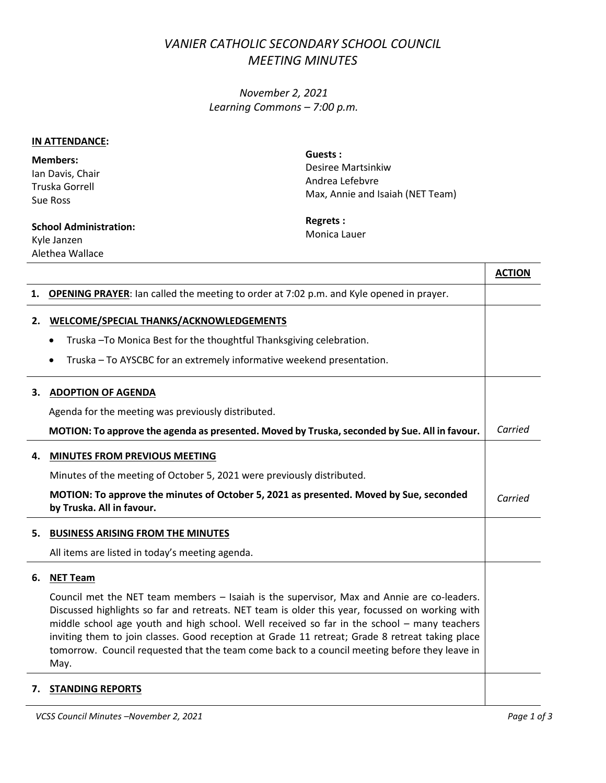## *VANIER CATHOLIC SECONDARY SCHOOL COUNCIL MEETING MINUTES*

*November 2, 2021 Learning Commons – 7:00 p.m.*

## **IN ATTENDANCE:**

**Members:** Ian Davis, Chair Truska Gorrell Sue Ross

**Guests :** Desiree Martsinkiw Andrea Lefebvre Max, Annie and Isaiah (NET Team)

## **School Administration:**  Kyle Janzen Alethea Wallace

**Regrets :** Monica Lauer

|    |                                                                                                                                                                                                                                                                                                                                                                                                                                                                                                          | <b>ACTION</b> |
|----|----------------------------------------------------------------------------------------------------------------------------------------------------------------------------------------------------------------------------------------------------------------------------------------------------------------------------------------------------------------------------------------------------------------------------------------------------------------------------------------------------------|---------------|
|    | 1. <b>OPENING PRAYER:</b> lan called the meeting to order at 7:02 p.m. and Kyle opened in prayer.                                                                                                                                                                                                                                                                                                                                                                                                        |               |
| 2. | WELCOME/SPECIAL THANKS/ACKNOWLEDGEMENTS                                                                                                                                                                                                                                                                                                                                                                                                                                                                  |               |
|    | Truska-To Monica Best for the thoughtful Thanksgiving celebration.                                                                                                                                                                                                                                                                                                                                                                                                                                       |               |
|    | Truska - To AYSCBC for an extremely informative weekend presentation.<br>$\bullet$                                                                                                                                                                                                                                                                                                                                                                                                                       |               |
| з. | <b>ADOPTION OF AGENDA</b>                                                                                                                                                                                                                                                                                                                                                                                                                                                                                |               |
|    | Agenda for the meeting was previously distributed.                                                                                                                                                                                                                                                                                                                                                                                                                                                       |               |
|    | MOTION: To approve the agenda as presented. Moved by Truska, seconded by Sue. All in favour.                                                                                                                                                                                                                                                                                                                                                                                                             | Carried       |
| 4. | <b>MINUTES FROM PREVIOUS MEETING</b>                                                                                                                                                                                                                                                                                                                                                                                                                                                                     |               |
|    | Minutes of the meeting of October 5, 2021 were previously distributed.                                                                                                                                                                                                                                                                                                                                                                                                                                   |               |
|    | MOTION: To approve the minutes of October 5, 2021 as presented. Moved by Sue, seconded<br>by Truska. All in favour.                                                                                                                                                                                                                                                                                                                                                                                      | Carried       |
| 5. | <b>BUSINESS ARISING FROM THE MINUTES</b>                                                                                                                                                                                                                                                                                                                                                                                                                                                                 |               |
|    | All items are listed in today's meeting agenda.                                                                                                                                                                                                                                                                                                                                                                                                                                                          |               |
| 6. | <b>NET Team</b>                                                                                                                                                                                                                                                                                                                                                                                                                                                                                          |               |
|    | Council met the NET team members - Isaiah is the supervisor, Max and Annie are co-leaders.<br>Discussed highlights so far and retreats. NET team is older this year, focussed on working with<br>middle school age youth and high school. Well received so far in the school - many teachers<br>inviting them to join classes. Good reception at Grade 11 retreat; Grade 8 retreat taking place<br>tomorrow. Council requested that the team come back to a council meeting before they leave in<br>May. |               |
|    | 7. STANDING REPORTS                                                                                                                                                                                                                                                                                                                                                                                                                                                                                      |               |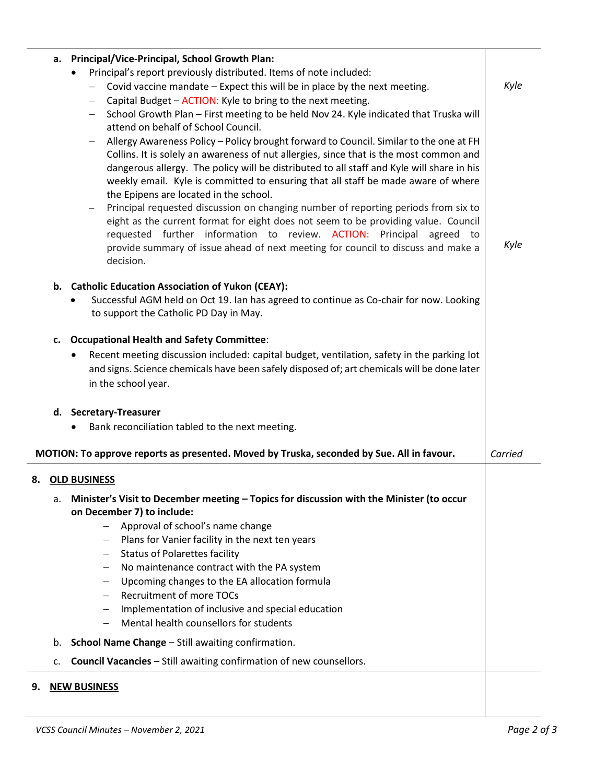|                                                         | a. Principal/Vice-Principal, School Growth Plan:       |                                                                                                                                                                                                                                                                                                                                                   |         |  |  |  |
|---------------------------------------------------------|--------------------------------------------------------|---------------------------------------------------------------------------------------------------------------------------------------------------------------------------------------------------------------------------------------------------------------------------------------------------------------------------------------------------|---------|--|--|--|
|                                                         |                                                        | Principal's report previously distributed. Items of note included:                                                                                                                                                                                                                                                                                |         |  |  |  |
|                                                         |                                                        | Covid vaccine mandate - Expect this will be in place by the next meeting.<br>$\overline{\phantom{m}}$                                                                                                                                                                                                                                             | Kyle    |  |  |  |
|                                                         |                                                        | Capital Budget - ACTION: Kyle to bring to the next meeting.                                                                                                                                                                                                                                                                                       |         |  |  |  |
|                                                         |                                                        | School Growth Plan - First meeting to be held Nov 24. Kyle indicated that Truska will<br>attend on behalf of School Council.                                                                                                                                                                                                                      |         |  |  |  |
|                                                         |                                                        | Allergy Awareness Policy - Policy brought forward to Council. Similar to the one at FH                                                                                                                                                                                                                                                            |         |  |  |  |
|                                                         |                                                        | Collins. It is solely an awareness of nut allergies, since that is the most common and<br>dangerous allergy. The policy will be distributed to all staff and Kyle will share in his<br>weekly email. Kyle is committed to ensuring that all staff be made aware of where                                                                          |         |  |  |  |
|                                                         |                                                        | the Epipens are located in the school.                                                                                                                                                                                                                                                                                                            |         |  |  |  |
|                                                         |                                                        | Principal requested discussion on changing number of reporting periods from six to<br>eight as the current format for eight does not seem to be providing value. Council<br>requested further information to review. ACTION: Principal agreed to<br>provide summary of issue ahead of next meeting for council to discuss and make a<br>decision. | Kyle    |  |  |  |
|                                                         |                                                        |                                                                                                                                                                                                                                                                                                                                                   |         |  |  |  |
|                                                         |                                                        | b. Catholic Education Association of Yukon (CEAY):<br>Successful AGM held on Oct 19. Ian has agreed to continue as Co-chair for now. Looking<br>to support the Catholic PD Day in May.                                                                                                                                                            |         |  |  |  |
|                                                         | <b>Occupational Health and Safety Committee:</b><br>c. |                                                                                                                                                                                                                                                                                                                                                   |         |  |  |  |
|                                                         |                                                        | Recent meeting discussion included: capital budget, ventilation, safety in the parking lot<br>$\bullet$                                                                                                                                                                                                                                           |         |  |  |  |
|                                                         |                                                        | and signs. Science chemicals have been safely disposed of; art chemicals will be done later                                                                                                                                                                                                                                                       |         |  |  |  |
|                                                         |                                                        | in the school year.                                                                                                                                                                                                                                                                                                                               |         |  |  |  |
|                                                         |                                                        |                                                                                                                                                                                                                                                                                                                                                   |         |  |  |  |
|                                                         |                                                        | d. Secretary-Treasurer                                                                                                                                                                                                                                                                                                                            |         |  |  |  |
|                                                         |                                                        | Bank reconciliation tabled to the next meeting.<br>$\bullet$                                                                                                                                                                                                                                                                                      |         |  |  |  |
|                                                         |                                                        | MOTION: To approve reports as presented. Moved by Truska, seconded by Sue. All in favour.                                                                                                                                                                                                                                                         | Carried |  |  |  |
|                                                         |                                                        | 8. OLD BUSINESS                                                                                                                                                                                                                                                                                                                                   |         |  |  |  |
|                                                         | а.                                                     | Minister's Visit to December meeting - Topics for discussion with the Minister (to occur                                                                                                                                                                                                                                                          |         |  |  |  |
|                                                         |                                                        | on December 7) to include:                                                                                                                                                                                                                                                                                                                        |         |  |  |  |
|                                                         |                                                        | Approval of school's name change                                                                                                                                                                                                                                                                                                                  |         |  |  |  |
|                                                         |                                                        | Plans for Vanier facility in the next ten years                                                                                                                                                                                                                                                                                                   |         |  |  |  |
|                                                         |                                                        | <b>Status of Polarettes facility</b><br>$\overline{\phantom{m}}$                                                                                                                                                                                                                                                                                  |         |  |  |  |
|                                                         |                                                        | No maintenance contract with the PA system<br>—                                                                                                                                                                                                                                                                                                   |         |  |  |  |
|                                                         |                                                        | Upcoming changes to the EA allocation formula                                                                                                                                                                                                                                                                                                     |         |  |  |  |
|                                                         |                                                        | <b>Recruitment of more TOCs</b>                                                                                                                                                                                                                                                                                                                   |         |  |  |  |
|                                                         |                                                        | Implementation of inclusive and special education<br>$\qquad \qquad -$<br>Mental health counsellors for students                                                                                                                                                                                                                                  |         |  |  |  |
|                                                         |                                                        |                                                                                                                                                                                                                                                                                                                                                   |         |  |  |  |
| School Name Change - Still awaiting confirmation.<br>b. |                                                        |                                                                                                                                                                                                                                                                                                                                                   |         |  |  |  |
|                                                         | c.                                                     | Council Vacancies - Still awaiting confirmation of new counsellors.                                                                                                                                                                                                                                                                               |         |  |  |  |
| 9.                                                      |                                                        | <b>NEW BUSINESS</b>                                                                                                                                                                                                                                                                                                                               |         |  |  |  |
|                                                         |                                                        |                                                                                                                                                                                                                                                                                                                                                   |         |  |  |  |